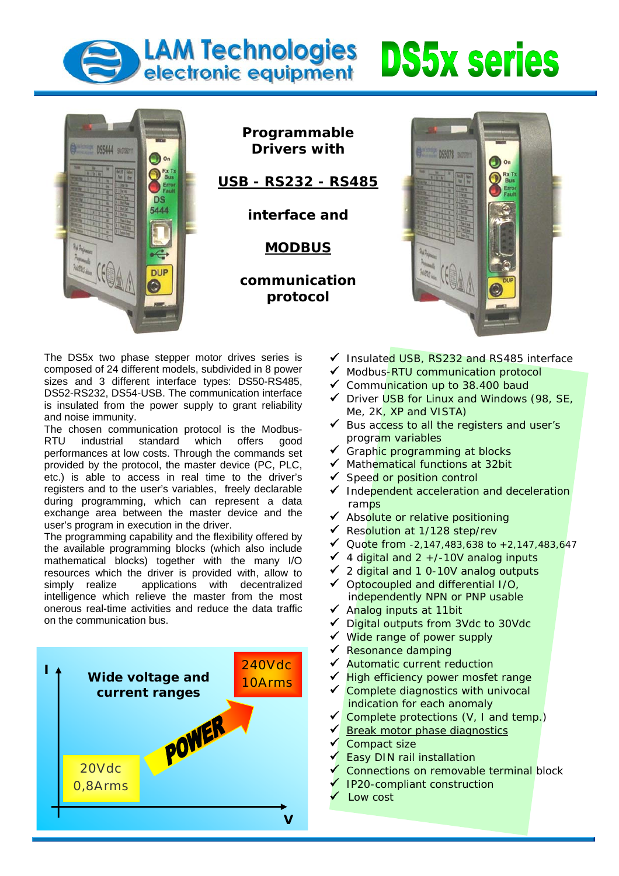## LAM Technologies DS5x series l







The DS5x two phase stepper motor drives series is composed of 24 different models, subdivided in 8 power sizes and 3 different interface types: DS50-RS485, DS52-RS232, DS54-USB. The communication interface is insulated from the power supply to grant reliability and noise immunity.

The chosen communication protocol is the Modbus-RTU industrial standard which offers good performances at low costs. Through the commands set provided by the protocol, the master device (PC, PLC, etc.) is able to access in real time to the driver's registers and to the user's variables, freely declarable during programming, which can represent a data exchange area between the master device and the user's program in execution in the driver.

The programming capability and the flexibility offered by the available programming blocks (which also include mathematical blocks) together with the many I/O resources which the driver is provided with, allow to simply realize applications with decentralized intelligence which relieve the master from the most onerous real-time activities and reduce the data traffic on the communication bus.



- ◆ Insulated USB, RS232 and RS485 interface
- ◆ Modbus-RTU communication protocol
- $\checkmark$  Communication up to 38.400 baud
- $\checkmark$  Driver USB for Linux and Windows (98, SE, Me, 2K, XP and VISTA)
- $\checkmark$  Bus access to all the registers and user's program variables
- ✔ Graphic programming at blocks
- $\sqrt{\phantom{a}}$  Mathematical functions at 32bit
- ◆ Speed or position control
- Independent acceleration and deceleration ramps
- ◆ Absolute or relative positioning
- ◆ Resolution at 1/128 step/rev
- ◆ Quote from  $-2,147,483,638$  to  $+2,147,483,647$
- $\checkmark$  4 digital and 2 +/-10V analog inputs
- 9 2 digital and 1 0-10V analog outputs
- $\checkmark$  Optocoupled and differential I/O, independently NPN or PNP usable
- $\checkmark$  Analog inputs at 11bit
- Digital outputs from 3Vdc to 30Vdc
- $\checkmark$  Wide range of power supply
- $\sqrt{ }$  Resonance damping
- ◆ Automatic current reduction
- High efficiency power mosfet range
- $\checkmark$  Complete diagnostics with univocal indication for each anomaly
- Complete protections (V, I and temp.)
- Break motor phase diagnostics
- Compact size
- **Easy DIN rail installation**
- 9 Connections on removable terminal block
- 9 IP20-compliant construction
- Low cost